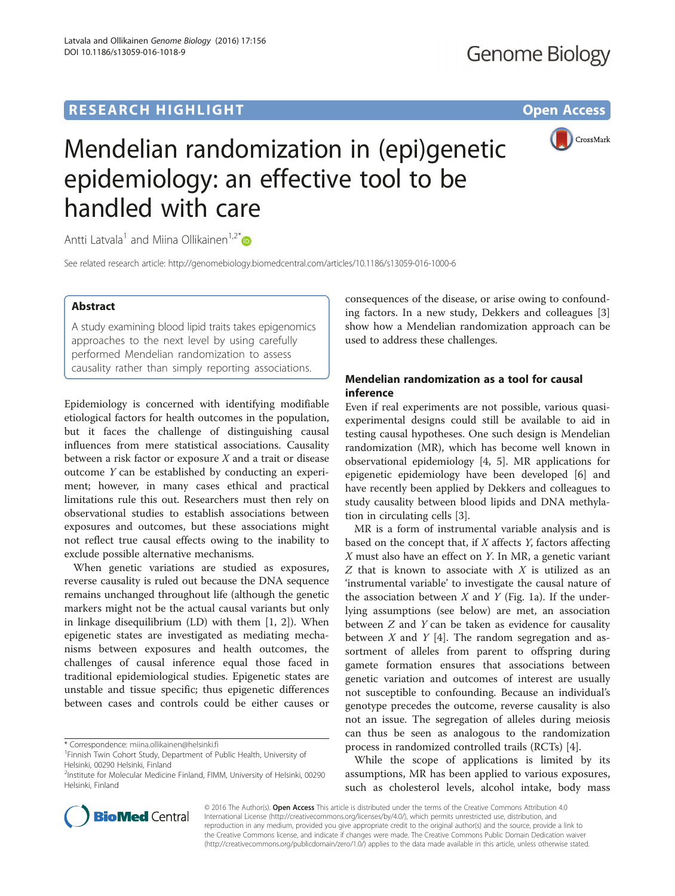

# Mendelian randomization in (epi)genetic epidemiology: an effective tool to be handled with care

Antti Latvala<sup>1</sup> and Miina Ollikainen<sup>1,2[\\*](http://orcid.org/0000-0003-3661-7400)</sup>

See related research article:<http://genomebiology.biomedcentral.com/articles/10.1186/s13059-016-1000-6>

# Abstract

A study examining blood lipid traits takes epigenomics approaches to the next level by using carefully performed Mendelian randomization to assess causality rather than simply reporting associations.

Epidemiology is concerned with identifying modifiable etiological factors for health outcomes in the population, but it faces the challenge of distinguishing causal influences from mere statistical associations. Causality between a risk factor or exposure X and a trait or disease outcome Y can be established by conducting an experiment; however, in many cases ethical and practical limitations rule this out. Researchers must then rely on observational studies to establish associations between exposures and outcomes, but these associations might not reflect true causal effects owing to the inability to exclude possible alternative mechanisms.

When genetic variations are studied as exposures, reverse causality is ruled out because the DNA sequence remains unchanged throughout life (although the genetic markers might not be the actual causal variants but only in linkage disequilibrium (LD) with them [\[1](#page-2-0), [2](#page-2-0)]). When epigenetic states are investigated as mediating mechanisms between exposures and health outcomes, the challenges of causal inference equal those faced in traditional epidemiological studies. Epigenetic states are unstable and tissue specific; thus epigenetic differences between cases and controls could be either causes or

\* Correspondence: [miina.ollikainen@helsinki.fi](mailto:miina.ollikainen@helsinki.fi) <sup>1</sup>

consequences of the disease, or arise owing to confounding factors. In a new study, Dekkers and colleagues [\[3](#page-3-0)] show how a Mendelian randomization approach can be used to address these challenges.

# Mendelian randomization as a tool for causal inference

Even if real experiments are not possible, various quasiexperimental designs could still be available to aid in testing causal hypotheses. One such design is Mendelian randomization (MR), which has become well known in observational epidemiology [\[4](#page-3-0), [5](#page-3-0)]. MR applications for epigenetic epidemiology have been developed [[6\]](#page-3-0) and have recently been applied by Dekkers and colleagues to study causality between blood lipids and DNA methylation in circulating cells [[3\]](#page-3-0).

MR is a form of instrumental variable analysis and is based on the concept that, if  $X$  affects  $Y$ , factors affecting X must also have an effect on Y. In MR, a genetic variant Z that is known to associate with  $X$  is utilized as an 'instrumental variable' to investigate the causal nature of the association between  $X$  and  $Y$  (Fig. [1a\)](#page-1-0). If the underlying assumptions (see below) are met, an association between Z and Y can be taken as evidence for causality between  $X$  and  $Y$  [[4\]](#page-3-0). The random segregation and assortment of alleles from parent to offspring during gamete formation ensures that associations between genetic variation and outcomes of interest are usually not susceptible to confounding. Because an individual's genotype precedes the outcome, reverse causality is also not an issue. The segregation of alleles during meiosis can thus be seen as analogous to the randomization process in randomized controlled trails (RCTs) [[4\]](#page-3-0).

While the scope of applications is limited by its assumptions, MR has been applied to various exposures, such as cholesterol levels, alcohol intake, body mass



© 2016 The Author(s). Open Access This article is distributed under the terms of the Creative Commons Attribution 4.0 International License [\(http://creativecommons.org/licenses/by/4.0/](http://creativecommons.org/licenses/by/4.0/)), which permits unrestricted use, distribution, and reproduction in any medium, provided you give appropriate credit to the original author(s) and the source, provide a link to the Creative Commons license, and indicate if changes were made. The Creative Commons Public Domain Dedication waiver [\(http://creativecommons.org/publicdomain/zero/1.0/](http://creativecommons.org/publicdomain/zero/1.0/)) applies to the data made available in this article, unless otherwise stated.

<sup>&</sup>lt;sup>1</sup> Finnish Twin Cohort Study, Department of Public Health, University of Helsinki, 00290 Helsinki, Finland

<sup>&</sup>lt;sup>2</sup>Institute for Molecular Medicine Finland, FIMM, University of Helsinki, 00290 Helsinki, Finland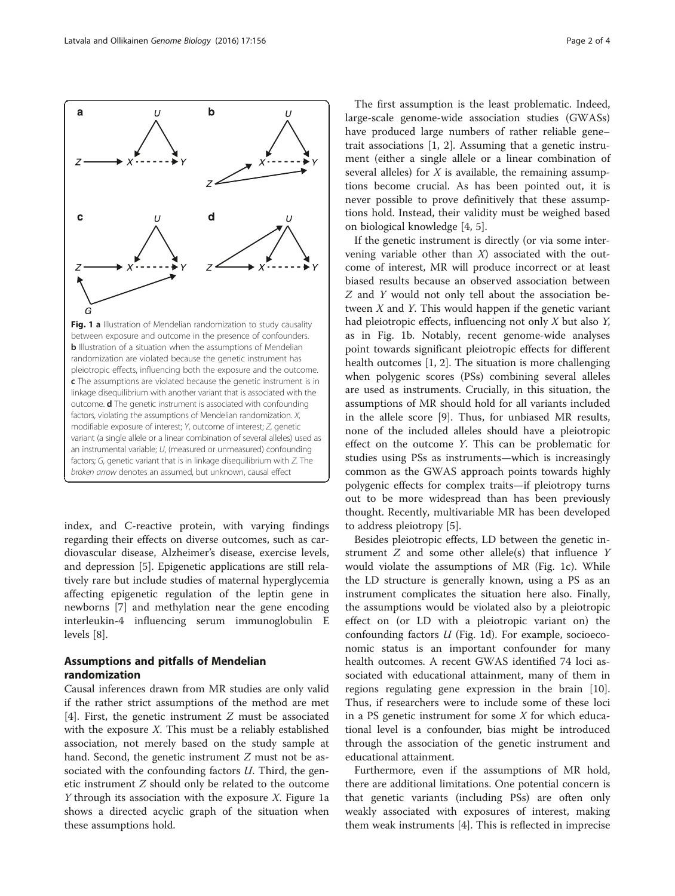index, and C-reactive protein, with varying findings regarding their effects on diverse outcomes, such as cardiovascular disease, Alzheimer's disease, exercise levels, and depression [[5\]](#page-3-0). Epigenetic applications are still relatively rare but include studies of maternal hyperglycemia affecting epigenetic regulation of the leptin gene in newborns [\[7](#page-3-0)] and methylation near the gene encoding interleukin-4 influencing serum immunoglobulin E levels [\[8\]](#page-3-0).

## Assumptions and pitfalls of Mendelian randomization

Causal inferences drawn from MR studies are only valid if the rather strict assumptions of the method are met [[4\]](#page-3-0). First, the genetic instrument  $Z$  must be associated with the exposure  $X$ . This must be a reliably established association, not merely based on the study sample at hand. Second, the genetic instrument  $Z$  must not be associated with the confounding factors  $U$ . Third, the genetic instrument Z should only be related to the outcome  $Y$  through its association with the exposure  $X$ . Figure 1a shows a directed acyclic graph of the situation when these assumptions hold.

The first assumption is the least problematic. Indeed, large-scale genome-wide association studies (GWASs) have produced large numbers of rather reliable gene– trait associations [[1, 2\]](#page-2-0). Assuming that a genetic instrument (either a single allele or a linear combination of several alleles) for  $X$  is available, the remaining assumptions become crucial. As has been pointed out, it is never possible to prove definitively that these assumptions hold. Instead, their validity must be weighed based on biological knowledge [[4, 5\]](#page-3-0).

If the genetic instrument is directly (or via some intervening variable other than  $X$ ) associated with the outcome of interest, MR will produce incorrect or at least biased results because an observed association between Z and Y would not only tell about the association between  $X$  and  $Y$ . This would happen if the genetic variant had pleiotropic effects, influencing not only  $X$  but also  $Y$ , as in Fig. 1b. Notably, recent genome-wide analyses point towards significant pleiotropic effects for different health outcomes [\[1](#page-2-0), [2](#page-2-0)]. The situation is more challenging when polygenic scores (PSs) combining several alleles are used as instruments. Crucially, in this situation, the assumptions of MR should hold for all variants included in the allele score [[9\]](#page-3-0). Thus, for unbiased MR results, none of the included alleles should have a pleiotropic effect on the outcome Y. This can be problematic for studies using PSs as instruments—which is increasingly common as the GWAS approach points towards highly polygenic effects for complex traits—if pleiotropy turns out to be more widespread than has been previously thought. Recently, multivariable MR has been developed to address pleiotropy [[5\]](#page-3-0).

Besides pleiotropic effects, LD between the genetic instrument Z and some other allele(s) that influence Y would violate the assumptions of MR (Fig. 1c). While the LD structure is generally known, using a PS as an instrument complicates the situation here also. Finally, the assumptions would be violated also by a pleiotropic effect on (or LD with a pleiotropic variant on) the confounding factors  $U$  (Fig. 1d). For example, socioeconomic status is an important confounder for many health outcomes. A recent GWAS identified 74 loci associated with educational attainment, many of them in regions regulating gene expression in the brain [\[10](#page-3-0)]. Thus, if researchers were to include some of these loci in a PS genetic instrument for some  $X$  for which educational level is a confounder, bias might be introduced through the association of the genetic instrument and educational attainment.

Furthermore, even if the assumptions of MR hold, there are additional limitations. One potential concern is that genetic variants (including PSs) are often only weakly associated with exposures of interest, making them weak instruments [\[4](#page-3-0)]. This is reflected in imprecise

<span id="page-1-0"></span>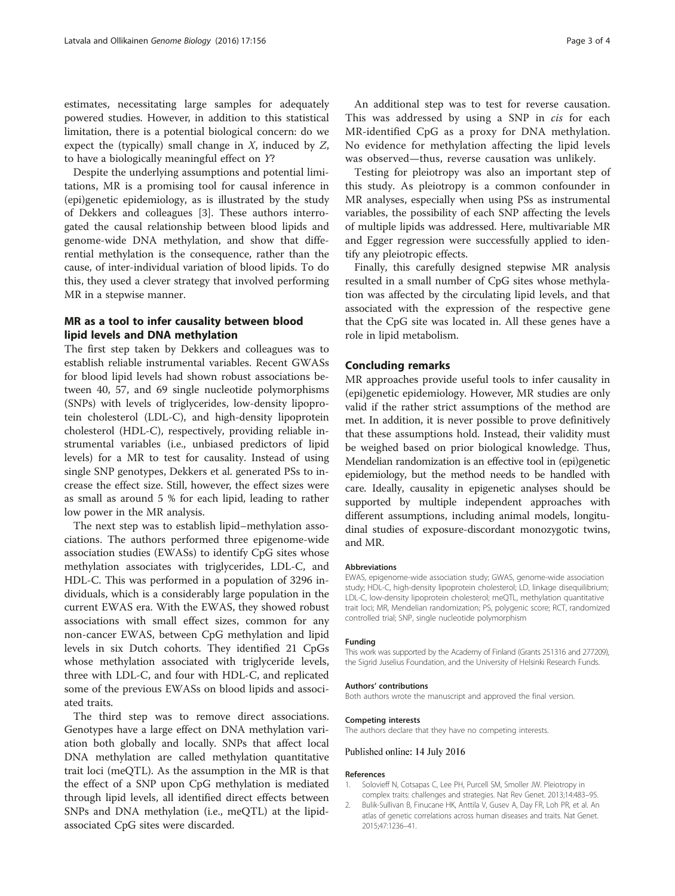<span id="page-2-0"></span>estimates, necessitating large samples for adequately powered studies. However, in addition to this statistical limitation, there is a potential biological concern: do we expect the (typically) small change in  $X$ , induced by  $Z$ , to have a biologically meaningful effect on Y?

Despite the underlying assumptions and potential limitations, MR is a promising tool for causal inference in (epi)genetic epidemiology, as is illustrated by the study of Dekkers and colleagues [\[3](#page-3-0)]. These authors interrogated the causal relationship between blood lipids and genome-wide DNA methylation, and show that differential methylation is the consequence, rather than the cause, of inter-individual variation of blood lipids. To do this, they used a clever strategy that involved performing MR in a stepwise manner.

## MR as a tool to infer causality between blood lipid levels and DNA methylation

The first step taken by Dekkers and colleagues was to establish reliable instrumental variables. Recent GWASs for blood lipid levels had shown robust associations between 40, 57, and 69 single nucleotide polymorphisms (SNPs) with levels of triglycerides, low-density lipoprotein cholesterol (LDL-C), and high-density lipoprotein cholesterol (HDL-C), respectively, providing reliable instrumental variables (i.e., unbiased predictors of lipid levels) for a MR to test for causality. Instead of using single SNP genotypes, Dekkers et al. generated PSs to increase the effect size. Still, however, the effect sizes were as small as around 5 % for each lipid, leading to rather low power in the MR analysis.

The next step was to establish lipid–methylation associations. The authors performed three epigenome-wide association studies (EWASs) to identify CpG sites whose methylation associates with triglycerides, LDL-C, and HDL-C. This was performed in a population of 3296 individuals, which is a considerably large population in the current EWAS era. With the EWAS, they showed robust associations with small effect sizes, common for any non-cancer EWAS, between CpG methylation and lipid levels in six Dutch cohorts. They identified 21 CpGs whose methylation associated with triglyceride levels, three with LDL-C, and four with HDL-C, and replicated some of the previous EWASs on blood lipids and associated traits.

The third step was to remove direct associations. Genotypes have a large effect on DNA methylation variation both globally and locally. SNPs that affect local DNA methylation are called methylation quantitative trait loci (meQTL). As the assumption in the MR is that the effect of a SNP upon CpG methylation is mediated through lipid levels, all identified direct effects between SNPs and DNA methylation (i.e., meQTL) at the lipidassociated CpG sites were discarded.

An additional step was to test for reverse causation. This was addressed by using a SNP in cis for each MR-identified CpG as a proxy for DNA methylation. No evidence for methylation affecting the lipid levels was observed—thus, reverse causation was unlikely.

Testing for pleiotropy was also an important step of this study. As pleiotropy is a common confounder in MR analyses, especially when using PSs as instrumental variables, the possibility of each SNP affecting the levels of multiple lipids was addressed. Here, multivariable MR and Egger regression were successfully applied to identify any pleiotropic effects.

Finally, this carefully designed stepwise MR analysis resulted in a small number of CpG sites whose methylation was affected by the circulating lipid levels, and that associated with the expression of the respective gene that the CpG site was located in. All these genes have a role in lipid metabolism.

## Concluding remarks

MR approaches provide useful tools to infer causality in (epi)genetic epidemiology. However, MR studies are only valid if the rather strict assumptions of the method are met. In addition, it is never possible to prove definitively that these assumptions hold. Instead, their validity must be weighed based on prior biological knowledge. Thus, Mendelian randomization is an effective tool in (epi)genetic epidemiology, but the method needs to be handled with care. Ideally, causality in epigenetic analyses should be supported by multiple independent approaches with different assumptions, including animal models, longitudinal studies of exposure-discordant monozygotic twins, and MR.

## Abbreviations

EWAS, epigenome-wide association study; GWAS, genome-wide association study; HDL-C, high-density lipoprotein cholesterol; LD, linkage disequilibrium; LDL-C, low-density lipoprotein cholesterol; meQTL, methylation quantitative trait loci; MR, Mendelian randomization; PS, polygenic score; RCT, randomized controlled trial; SNP, single nucleotide polymorphism

#### Funding

This work was supported by the Academy of Finland (Grants 251316 and 277209), the Sigrid Juselius Foundation, and the University of Helsinki Research Funds.

### Authors' contributions

Both authors wrote the manuscript and approved the final version.

#### Competing interests

The authors declare that they have no competing interests.

## Published online: 14 July 2016

#### References

- 1. Solovieff N, Cotsapas C, Lee PH, Purcell SM, Smoller JW. Pleiotropy in complex traits: challenges and strategies. Nat Rev Genet. 2013;14:483–95.
- 2. Bulik-Sullivan B, Finucane HK, Anttila V, Gusev A, Day FR, Loh PR, et al. An atlas of genetic correlations across human diseases and traits. Nat Genet. 2015;47:1236–41.